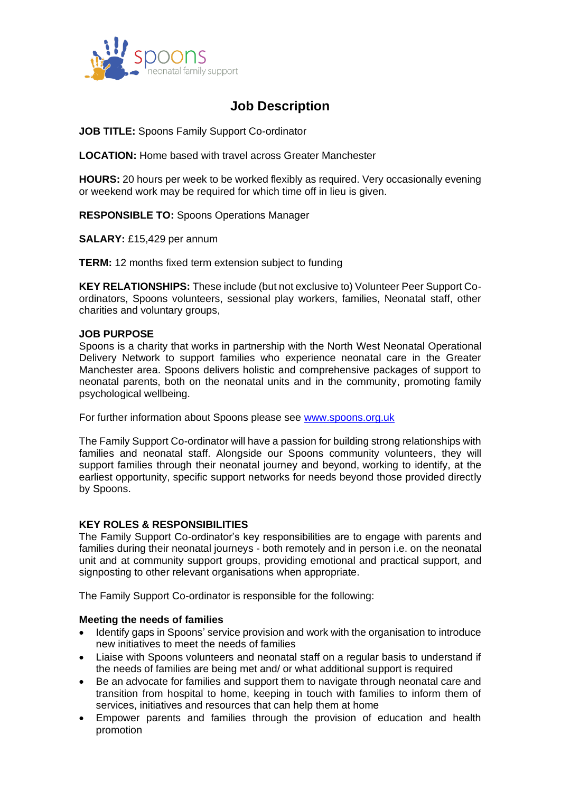

# **Job Description**

**JOB TITLE:** Spoons Family Support Co-ordinator

**LOCATION:** Home based with travel across Greater Manchester

**HOURS:** 20 hours per week to be worked flexibly as required. Very occasionally evening or weekend work may be required for which time off in lieu is given.

**RESPONSIBLE TO:** Spoons Operations Manager

**SALARY:** £15,429 per annum

**TERM:** 12 months fixed term extension subject to funding

**KEY RELATIONSHIPS:** These include (but not exclusive to) Volunteer Peer Support Coordinators, Spoons volunteers, sessional play workers, families, Neonatal staff, other charities and voluntary groups,

## **JOB PURPOSE**

Spoons is a charity that works in partnership with the North West Neonatal Operational Delivery Network to support families who experience neonatal care in the Greater Manchester area. Spoons delivers holistic and comprehensive packages of support to neonatal parents, both on the neonatal units and in the community, promoting family psychological wellbeing.

For further information about Spoons please see [www.spoons.org.uk](http://www.spoons.org.uk/)

The Family Support Co-ordinator will have a passion for building strong relationships with families and neonatal staff. Alongside our Spoons community volunteers, they will support families through their neonatal journey and beyond, working to identify, at the earliest opportunity, specific support networks for needs beyond those provided directly by Spoons.

# **KEY ROLES & RESPONSIBILITIES**

The Family Support Co-ordinator's key responsibilities are to engage with parents and families during their neonatal journeys - both remotely and in person i.e. on the neonatal unit and at community support groups, providing emotional and practical support, and signposting to other relevant organisations when appropriate.

The Family Support Co-ordinator is responsible for the following:

#### **Meeting the needs of families**

- Identify gaps in Spoons' service provision and work with the organisation to introduce new initiatives to meet the needs of families
- Liaise with Spoons volunteers and neonatal staff on a regular basis to understand if the needs of families are being met and/ or what additional support is required
- Be an advocate for families and support them to navigate through neonatal care and transition from hospital to home, keeping in touch with families to inform them of services, initiatives and resources that can help them at home
- Empower parents and families through the provision of education and health promotion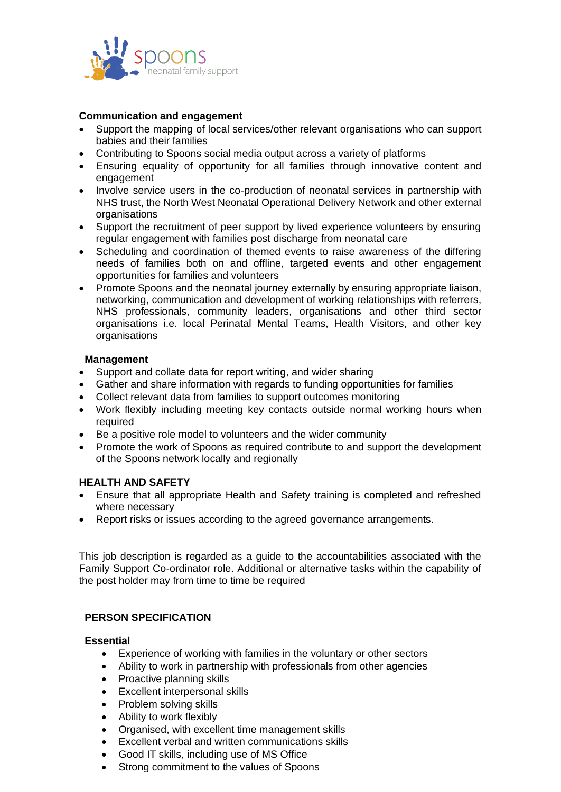

## **Communication and engagement**

- Support the mapping of local services/other relevant organisations who can support babies and their families
- Contributing to Spoons social media output across a variety of platforms
- Ensuring equality of opportunity for all families through innovative content and engagement
- Involve service users in the co-production of neonatal services in partnership with NHS trust, the North West Neonatal Operational Delivery Network and other external organisations
- Support the recruitment of peer support by lived experience volunteers by ensuring regular engagement with families post discharge from neonatal care
- Scheduling and coordination of themed events to raise awareness of the differing needs of families both on and offline, targeted events and other engagement opportunities for families and volunteers
- Promote Spoons and the neonatal journey externally by ensuring appropriate liaison, networking, communication and development of working relationships with referrers, NHS professionals, community leaders, organisations and other third sector organisations i.e. local Perinatal Mental Teams, Health Visitors, and other key organisations

## **Management**

- Support and collate data for report writing, and wider sharing
- Gather and share information with regards to funding opportunities for families
- Collect relevant data from families to support outcomes monitoring
- Work flexibly including meeting key contacts outside normal working hours when required
- Be a positive role model to volunteers and the wider community
- Promote the work of Spoons as required contribute to and support the development of the Spoons network locally and regionally

## **HEALTH AND SAFETY**

- Ensure that all appropriate Health and Safety training is completed and refreshed where necessary
- Report risks or issues according to the agreed governance arrangements.

This job description is regarded as a guide to the accountabilities associated with the Family Support Co-ordinator role. Additional or alternative tasks within the capability of the post holder may from time to time be required

# **PERSON SPECIFICATION**

#### **Essential**

- Experience of working with families in the voluntary or other sectors
- Ability to work in partnership with professionals from other agencies
- Proactive planning skills
- Excellent interpersonal skills
- Problem solving skills
- Ability to work flexibly
- Organised, with excellent time management skills
- Excellent verbal and written communications skills
- Good IT skills, including use of MS Office
- Strong commitment to the values of Spoons